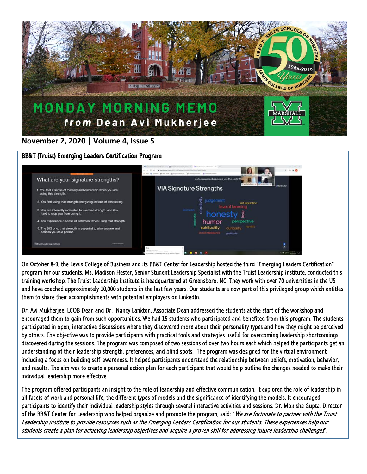

## **November 2, 2020 | Volume 4, Issue 5**

## BB&T (Truist) Emerging Leaders Certification Program



On October 8-9, the Lewis College of Business and its BB&T Center for Leadership hosted the third "Emerging Leaders Certification" program for our students. Ms. Madison Hester, Senior Student Leadership Specialist with the Truist Leadership Institute, conducted this training workshop. The Truist Leadership Institute is headquartered at Greensboro, NC. They work with over 70 universities in the US and have coached approximately 10,000 students in the last few years. Our students are now part of this privileged group which entitles them to share their accomplishments with potential employers on LinkedIn.

Dr. Avi Mukherjee, LCOB Dean and Dr. Nancy Lankton, Associate Dean addressed the students at the start of the workshop and encouraged them to gain from such opportunities. We had 15 students who participated and benefited from this program. The students participated in open, interactive discussions where they discovered more about their personality types and how they might be perceived by others. The objective was to provide participants with practical tools and strategies useful for overcoming leadership shortcomings discovered during the sessions. The program was composed of two sessions of over two hours each which helped the participants get an understanding of their leadership strength, preferences, and blind spots. The program was designed for the virtual environment including a focus on building self-awareness. It helped participants understand the relationship between beliefs, motivation, behavior, and results. The aim was to create a personal action plan for each participant that would help outline the changes needed to make their individual leadership more effective.

The program offered participants an insight to the role of leadership and effective communication. It explored the role of leadership in all facets of work and personal life, the different types of models and the significance of identifying the models. It encouraged participants to identify their individual leadership styles through several interactive activities and sessions. Dr. Monisha Gupta, Director of the BB&T Center for Leadership who helped organize and promote the program, said: "We are fortunate to partner with the Truist Leadership Institute to provide resources such as the Emerging Leaders Certification for our students. These experiences help our students create a plan for achieving leadership objectives and acquire a proven skill for addressing future leadership challenges".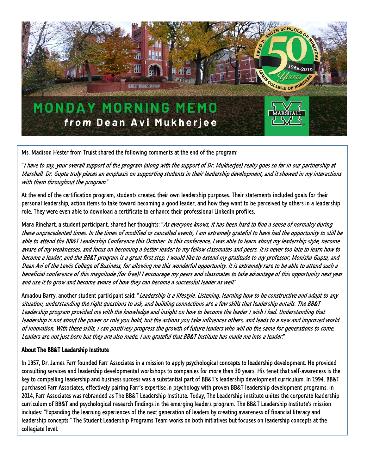

Ms. Madison Hester from Truist shared the following comments at the end of the program:

"I have to say, your overall support of the program (along with the support of Dr. Mukherjee) really goes so far in our partnership at Marshall. Dr. Gupta truly places an emphasis on supporting students in their leadership development, and it showed in my interactions with them throughout the program."

At the end of the certification program, students created their own leadership purposes. Their statements included goals for their personal leadership, action items to take toward becoming a good leader, and how they want to be perceived by others in a leadership role. They were even able to download a certificate to enhance their professional LinkedIn profiles.

Mara Rinehart, a student participant, shared her thoughts: "As everyone knows, it has been hard to find a sense of normalcy during these unprecedented times. In the times of modified or cancelled events, I am extremely grateful to have had the opportunity to still be able to attend the BB&T Leadership Conference this October. In this conference, I was able to learn about my leadership style, become aware of my weaknesses, and focus on becoming a better leader to my fellow classmates and peers. It is never too late to learn how to become a leader, and the BB&T program is a great first step. I would like to extend my gratitude to my professor, Monisha Gupta, and Dean Avi of the Lewis College of Business, for allowing me this wonderful opportunity. It is extremely rare to be able to attend such a beneficial conference of this magnitude (for free)! I encourage my peers and classmates to take advantage of this opportunity next year and use it to grow and become aware of how they can become a successful leader as well."

Amadou Barry, another student participant said: "Leadership is a lifestyle. Listening, learning how to be constructive and adapt to any situation, understanding the right questions to ask, and building connections are a few skills that leadership entails. The BB&T Leadership program provided me with the knowledge and insight on how to become the leader I wish I had. Understanding that leadership is not about the power or role you hold, but the actions you take influences others, and leads to a new and improved world of innovation. With these skills, I can positively progress the growth of future leaders who will do the same for generations to come. Leaders are not just born but they are also made. I am grateful that BB&T Institute has made me into a leader."

## About The BB&T Leadership Institute

In 1957, Dr. James Farr founded Farr Associates in a mission to apply psychological concepts to leadership development. He provided consulting services and leadership developmental workshops to companies for more than 30 years. His tenet that self-awareness is the key to compelling leadership and business success was a substantial part of BB&T's leadership development curriculum. In 1994, BB&T purchased Farr Associates, effectively pairing Farr's expertise in psychology with proven BB&T leadership development programs. In 2014, Farr Associates was rebranded as The BB&T Leadership Institute. Today, The Leadership Institute unites the corporate leadership curriculum of BB&T and psychological research findings in the emerging leaders program. The BB&T Leadership Institute's mission includes: "Expanding the learning experiences of the next generation of leaders by creating awareness of financial literacy and leadership concepts." The Student Leadership Programs Team works on both initiatives but focuses on leadership concepts at the collegiate level.